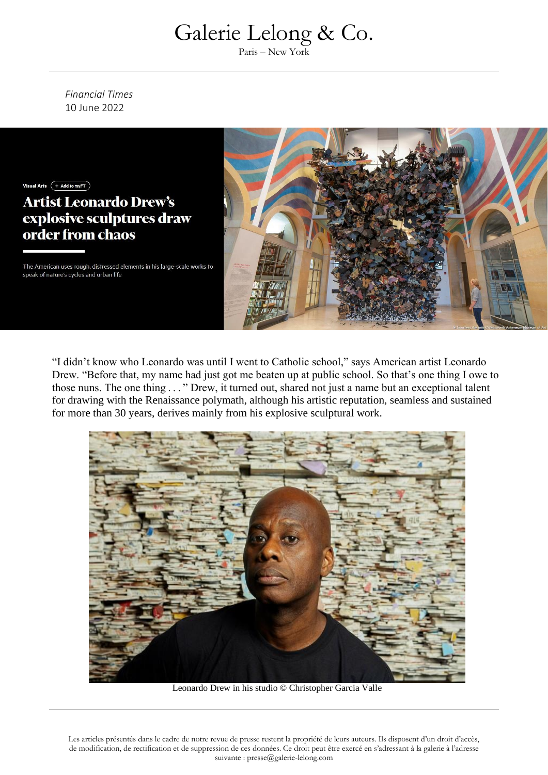Paris – New York

*Financial Times* 10 June 2022



"I didn't know who Leonardo was until I went to Catholic school," says American artist Leonardo Drew. "Before that, my name had just got me beaten up at public school. So that's one thing I owe to those nuns. The one thing  $\dots$  " Drew, it turned out, shared not just a name but an exceptional talent for drawing with the Renaissance polymath, although his artistic reputation, seamless and sustained for more than 30 years, derives mainly from his explosive sculptural work.



Leonardo Drew in his studio © Christopher Garcia Valle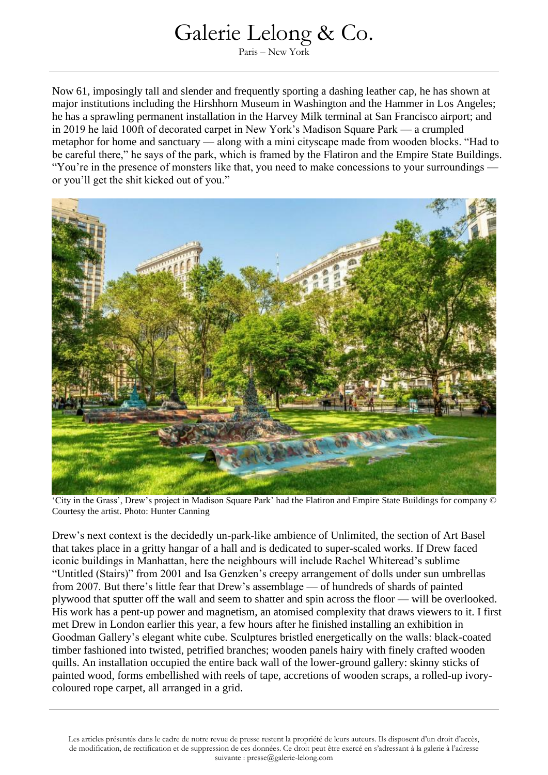Paris – New York

Now 61, imposingly tall and slender and frequently sporting a dashing leather cap, he has shown at major institutions including the Hirshhorn Museum in Washington and the Hammer in Los Angeles; he has a sprawling permanent installation in the Harvey Milk terminal at San Francisco airport; and in 2019 he laid 100ft of decorated carpet in New York's Madison Square Park — a crumpled metaphor for home and sanctuary — along with a mini cityscape made from wooden blocks. "Had to be careful there," he says of the park, which is framed by the Flatiron and the Empire State Buildings. "You're in the presence of monsters like that, you need to make concessions to your surroundings or you'll get the shit kicked out of you."



'City in the Grass', Drew's project in Madison Square Park' had the Flatiron and Empire State Buildings for company © Courtesy the artist. Photo: Hunter Canning

Drew's next context is the decidedly un-park-like ambience of Unlimited, the section of Art Basel that takes place in a gritty hangar of a hall and is dedicated to super-scaled works. If Drew faced iconic buildings in Manhattan, here the neighbours will include Rachel Whiteread's sublime "Untitled (Stairs)" from 2001 and Isa Genzken's creepy arrangement of dolls under sun umbrellas from 2007. But there's little fear that Drew's assemblage — of hundreds of shards of painted plywood that sputter off the wall and seem to shatter and spin across the floor — will be overlooked. His work has a pent-up power and magnetism, an atomised complexity that draws viewers to it. I first met Drew in London earlier this year, a few hours after he finished installing an exhibition in Goodman Gallery's elegant white cube. Sculptures bristled energetically on the walls: black-coated timber fashioned into twisted, petrified branches; wooden panels hairy with finely crafted wooden quills. An installation occupied the entire back wall of the lower-ground gallery: skinny sticks of painted wood, forms embellished with reels of tape, accretions of wooden scraps, a rolled-up ivorycoloured rope carpet, all arranged in a grid.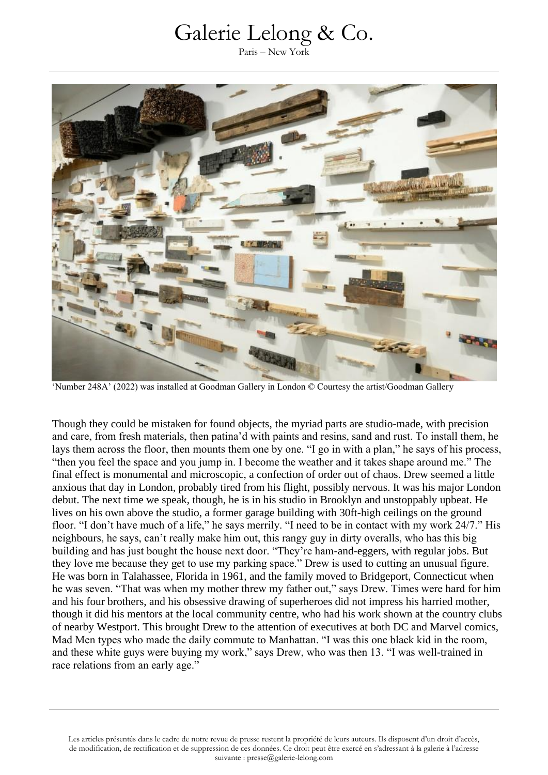Paris – New York



'Number 248A' (2022) was installed at Goodman Gallery in London © Courtesy the artist/Goodman Gallery

Though they could be mistaken for found objects, the myriad parts are studio-made, with precision and care, from fresh materials, then patina'd with paints and resins, sand and rust. To install them, he lays them across the floor, then mounts them one by one. "I go in with a plan," he says of his process, "then you feel the space and you jump in. I become the weather and it takes shape around me." The final effect is monumental and microscopic, a confection of order out of chaos. Drew seemed a little anxious that day in London, probably tired from his flight, possibly nervous. It was his major London debut. The next time we speak, though, he is in his studio in Brooklyn and unstoppably upbeat. He lives on his own above the studio, a former garage building with 30ft-high ceilings on the ground floor. "I don't have much of a life," he says merrily. "I need to be in contact with my work 24/7." His neighbours, he says, can't really make him out, this rangy guy in dirty overalls, who has this big building and has just bought the house next door. "They're ham-and-eggers, with regular jobs. But they love me because they get to use my parking space." Drew is used to cutting an unusual figure. He was born in Talahassee, Florida in 1961, and the family moved to Bridgeport, Connecticut when he was seven. "That was when my mother threw my father out," says Drew. Times were hard for him and his four brothers, and his obsessive drawing of superheroes did not impress his harried mother, though it did his mentors at the local community centre, who had his work shown at the country clubs of nearby Westport. This brought Drew to the attention of executives at both DC and Marvel comics, Mad Men types who made the daily commute to Manhattan. "I was this one black kid in the room, and these white guys were buying my work," says Drew, who was then 13. "I was well-trained in race relations from an early age."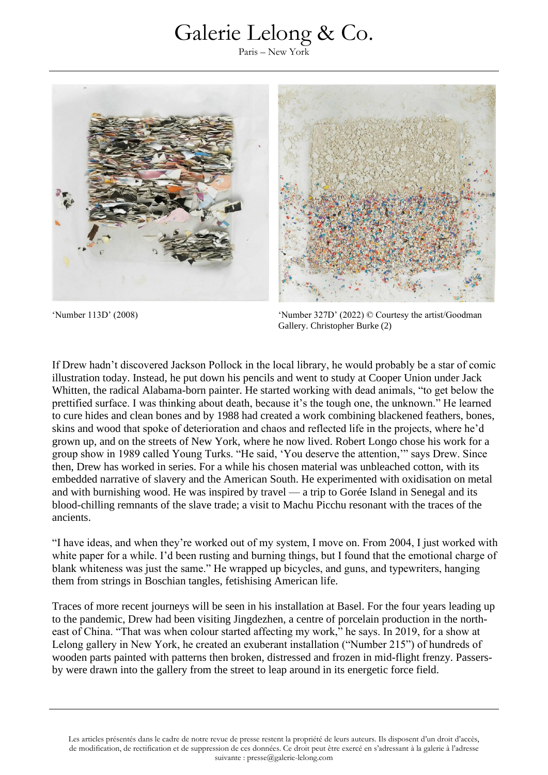Paris – New York



'Number 113D' (2008) 'Number 327D' (2022) © Courtesy the artist/Goodman Gallery. Christopher Burke (2)

If Drew hadn't discovered Jackson Pollock in the local library, he would probably be a star of comic illustration today. Instead, he put down his pencils and went to study at Cooper Union under Jack Whitten, the radical Alabama-born painter. He started working with dead animals, "to get below the prettified surface. I was thinking about death, because it's the tough one, the unknown." He learned to cure hides and clean bones and by 1988 had created a work combining blackened feathers, bones, skins and wood that spoke of deterioration and chaos and reflected life in the projects, where he'd grown up, and on the streets of New York, where he now lived. Robert Longo chose his work for a group show in 1989 called Young Turks. "He said, 'You deserve the attention,'" says Drew. Since then, Drew has worked in series. For a while his chosen material was unbleached cotton, with its embedded narrative of slavery and the American South. He experimented with oxidisation on metal and with burnishing wood. He was inspired by travel — a trip to Gorée Island in Senegal and its blood-chilling remnants of the slave trade; a visit to Machu Picchu resonant with the traces of the ancients.

"I have ideas, and when they're worked out of my system, I move on. From 2004, I just worked with white paper for a while. I'd been rusting and burning things, but I found that the emotional charge of blank whiteness was just the same." He wrapped up bicycles, and guns, and typewriters, hanging them from strings in Boschian tangles, fetishising American life.

Traces of more recent journeys will be seen in his installation at Basel. For the four years leading up to the pandemic, Drew had been visiting Jingdezhen, a centre of porcelain production in the northeast of China. "That was when colour started affecting my work," he says. In 2019, for a show at Lelong gallery in New York, he created an exuberant installation ("Number 215") of hundreds of wooden parts painted with patterns then broken, distressed and frozen in mid-flight frenzy. Passersby were drawn into the gallery from the street to leap around in its energetic force field.